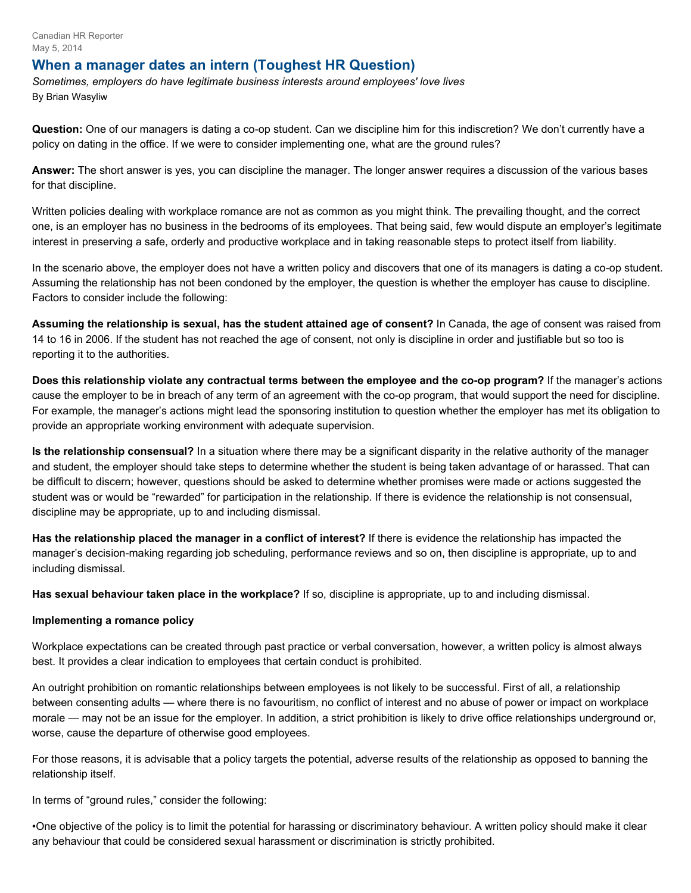Canadian HR Reporter May 5, 2014

## **When a manager dates an intern (Toughest HR Question)**

*Sometimes, employers do have legitimate business interests around employees' love lives*  By Brian Wasyliw

**Question:** One of our managers is dating a co-op student. Can we discipline him for this indiscretion? We don't currently have a policy on dating in the office. If we were to consider implementing one, what are the ground rules?

**Answer:** The short answer is yes, you can discipline the manager. The longer answer requires a discussion of the various bases for that discipline.

Written policies dealing with workplace romance are not as common as you might think. The prevailing thought, and the correct one, is an employer has no business in the bedrooms of its employees. That being said, few would dispute an employer's legitimate interest in preserving a safe, orderly and productive workplace and in taking reasonable steps to protect itself from liability.

In the scenario above, the employer does not have a written policy and discovers that one of its managers is dating a co-op student. Assuming the relationship has not been condoned by the employer, the question is whether the employer has cause to discipline. Factors to consider include the following:

**Assuming the relationship is sexual, has the student attained age of consent?** In Canada, the age of consent was raised from 14 to 16 in 2006. If the student has not reached the age of consent, not only is discipline in order and justifiable but so too is reporting it to the authorities.

**Does this relationship violate any contractual terms between the employee and the co-op program?** If the manager's actions cause the employer to be in breach of any term of an agreement with the co-op program, that would support the need for discipline. For example, the manager's actions might lead the sponsoring institution to question whether the employer has met its obligation to provide an appropriate working environment with adequate supervision.

**Is the relationship consensual?** In a situation where there may be a significant disparity in the relative authority of the manager and student, the employer should take steps to determine whether the student is being taken advantage of or harassed. That can be difficult to discern; however, questions should be asked to determine whether promises were made or actions suggested the student was or would be "rewarded" for participation in the relationship. If there is evidence the relationship is not consensual, discipline may be appropriate, up to and including dismissal.

**Has the relationship placed the manager in a conflict of interest?** If there is evidence the relationship has impacted the manager's decision-making regarding job scheduling, performance reviews and so on, then discipline is appropriate, up to and including dismissal.

**Has sexual behaviour taken place in the workplace?** If so, discipline is appropriate, up to and including dismissal.

## **Implementing a romance policy**

Workplace expectations can be created through past practice or verbal conversation, however, a written policy is almost always best. It provides a clear indication to employees that certain conduct is prohibited.

An outright prohibition on romantic relationships between employees is not likely to be successful. First of all, a relationship between consenting adults — where there is no favouritism, no conflict of interest and no abuse of power or impact on workplace morale — may not be an issue for the employer. In addition, a strict prohibition is likely to drive office relationships underground or, worse, cause the departure of otherwise good employees.

For those reasons, it is advisable that a policy targets the potential, adverse results of the relationship as opposed to banning the relationship itself.

In terms of "ground rules," consider the following:

•One objective of the policy is to limit the potential for harassing or discriminatory behaviour. A written policy should make it clear any behaviour that could be considered sexual harassment or discrimination is strictly prohibited.